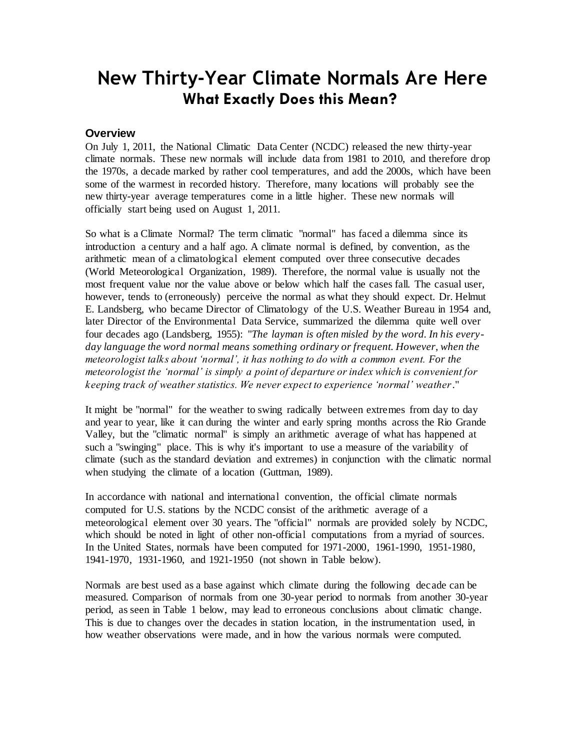# **New Thirty-Year Climate Normals Are Here What Exactly Does this Mean?**

## **Overview**

On July 1, 2011, the National Climatic Data Center (NCDC) released the new thirty-year climate normals. These new normals will include data from 1981 to 2010, and therefore drop the 1970s, a decade marked by rather cool temperatures, and add the 2000s, which have been some of the warmest in recorded history. Therefore, many locations will probably see the new thirty-year average temperatures come in a little higher. These new normals will officially start being used on August 1, 2011.

So what is a Climate Normal? The term climatic "normal" has faced a dilemma since its introduction a century and a half ago. A climate normal is defined, by convention, as the arithmetic mean of a climatological element computed over three consecutive decades (World Meteorological Organization, 1989). Therefore, the normal value is usually not the most frequent value nor the value above or below which half the cases fall. The casual user, however, tends to (erroneously) perceive the normal as what they should expect. Dr. Helmut E. Landsberg, who became Director of Climatology of the U.S. Weather Bureau in 1954 and, later Director of the Environmental Data Service, summarized the dilemma quite well over four decades ago (Landsberg, 1955): "*The layman is often misled by the word. In his everyday language the word normal means something ordinary or frequent. However, when the meteorologist talks about "normal", it has nothing to do with a common event. For the meteorologist the "normal" is simply a point of departure or index which is convenient for keeping track of weather statistics. We never expect to experience "normal" weather*."

It might be "normal" for the weather to swing radically between extremes from day to day and year to year, like it can during the winter and early spring months across the Rio Grande Valley, but the "climatic normal" is simply an arithmetic average of what has happened at such a "swinging" place. This is why it's important to use a measure of the variability of climate (such as the standard deviation and extremes) in conjunction with the climatic normal when studying the climate of a location (Guttman, 1989).

In accordance with national and international convention, the official climate normals computed for U.S. stations by the NCDC consist of the arithmetic average of a meteorological element over 30 years. The "official" normals are provided solely by NCDC, which should be noted in light of other non-official computations from a myriad of sources. In the United States, normals have been computed for 1971-2000, 1961-1990, 1951-1980, 1941-1970, 1931-1960, and 1921-1950 (not shown in Table below).

Normals are best used as a base against which climate during the following decade can be measured. Comparison of normals from one 30-year period to normals from another 30-year period, as seen in Table 1 below, may lead to erroneous conclusions about climatic change. This is due to changes over the decades in station location, in the instrumentation used, in how weather observations were made, and in how the various normals were computed.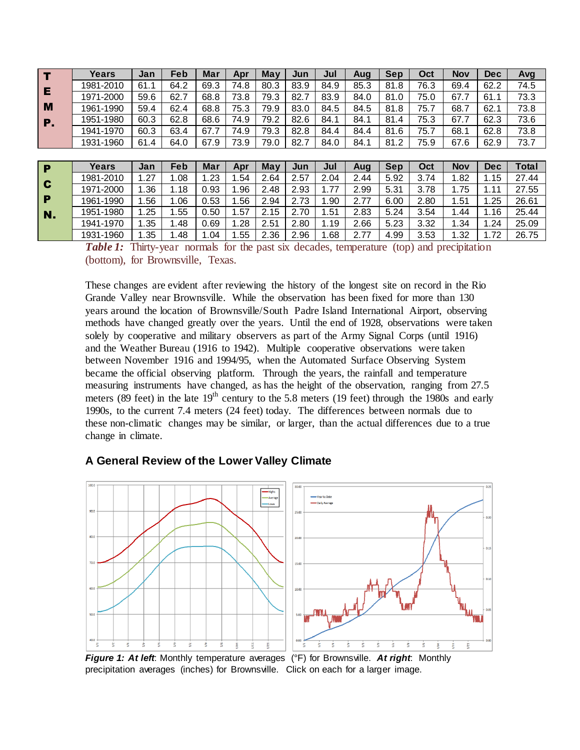| т         | Years     | Jan  | <b>Feb</b> | <b>Mar</b> | Apr  | May  | Jun  | Jul  | Aug  | <b>Sep</b> | Oct  | <b>Nov</b> | <b>Dec</b> | Avg          |
|-----------|-----------|------|------------|------------|------|------|------|------|------|------------|------|------------|------------|--------------|
| Е         | 1981-2010 | 61.1 | 64.2       | 69.3       | 74.8 | 80.3 | 83.9 | 84.9 | 85.3 | 81.8       | 76.3 | 69.4       | 62.2       | 74.5         |
|           | 1971-2000 | 59.6 | 62.7       | 68.8       | 73.8 | 79.3 | 82.7 | 83.9 | 84.0 | 81.0       | 75.0 | 67.7       | 61.1       | 73.3         |
| M         | 1961-1990 | 59.4 | 62.4       | 68.8       | 75.3 | 79.9 | 83.0 | 84.5 | 84.5 | 81.8       | 75.7 | 68.7       | 62.1       | 73.8         |
| <b>P.</b> | 1951-1980 | 60.3 | 62.8       | 68.6       | 74.9 | 79.2 | 82.6 | 84.1 | 84.1 | 81.4       | 75.3 | 67.7       | 62.3       | 73.6         |
|           | 1941-1970 | 60.3 | 63.4       | 67.7       | 74.9 | 79.3 | 82.8 | 84.4 | 84.4 | 81.6       | 75.7 | 68.1       | 62.8       | 73.8         |
|           | 1931-1960 | 61.4 | 64.0       | 67.9       | 73.9 | 79.0 | 82.7 | 84.0 | 84.1 | 81.2       | 75.9 | 67.6       | 62.9       | 73.7         |
|           |           |      |            |            |      |      |      |      |      |            |      |            |            |              |
|           |           |      |            |            |      |      |      |      |      |            |      |            |            |              |
| P         | Years     | Jan  | Feb        | <b>Mar</b> | Apr  | May  | Jun  | Jul  | Aug  | <b>Sep</b> | Oct  | <b>Nov</b> | <b>Dec</b> | <b>Total</b> |
|           | 1981-2010 | 1.27 | 1.08       | 1.23       | .54  | 2.64 | 2.57 | 2.04 | 2.44 | 5.92       | 3.74 | 1.82       | 1.15       | 27.44        |
| C         | 1971-2000 | 1.36 | 1.18       | 0.93       | .96  | 2.48 | 2.93 | 1.77 | 2.99 | 5.31       | 3.78 | 1.75       | 1.11       | 27.55        |
| P         | 1961-1990 | 1.56 | 1.06       | 0.53       | 1.56 | 2.94 | 2.73 | 1.90 | 2.77 | 6.00       | 2.80 | 1.51       | 1.25       | 26.61        |
|           | 1951-1980 | 1.25 | 1.55       | 0.50       | 1.57 | 2.15 | 2.70 | 1.51 | 2.83 | 5.24       | 3.54 | 1.44       | 1.16       | 25.44        |
| N.        | 1941-1970 | 1.35 | 1.48       | 0.69       | .28  | 2.51 | 2.80 | 1.19 | 2.66 | 5.23       | 3.32 | 1.34       | 1.24       | 25.09        |

*Table 1:* Thirty-year normals for the past six decades, temperature (top) and precipitation (bottom), for Brownsville, Texas.

These changes are evident after reviewing the history of the longest site on record in the Rio Grande Valley near Brownsville. While the observation has been fixed for more than 130 years around the location of Brownsville/South Padre Island International Airport, observing methods have changed greatly over the years. Until the end of 1928, observations were taken solely by cooperative and military observers as part of the Army Signal Corps (until 1916) and the Weather Bureau (1916 to 1942). Multiple cooperative observations were taken between November 1916 and 1994/95, when the Automated Surface Observing System became the official observing platform. Through the years, the rainfall and temperature measuring instruments have changed, as has the height of the observation, ranging from 27.5 meters (89 feet) in the late  $19<sup>th</sup>$  century to the 5.8 meters (19 feet) through the 1980s and early 1990s, to the current 7.4 meters (24 feet) today. The differences between normals due to these non-climatic changes may be similar, or larger, than the actual differences due to a true change in climate.

### **A General Review of the Lower Valley Climate**



*Figure 1: At left*: Monthly temperature averages (°F) for Brownsville. *At right*: Monthly precipitation averages (inches) for Brownsville. Click on each for a larger image.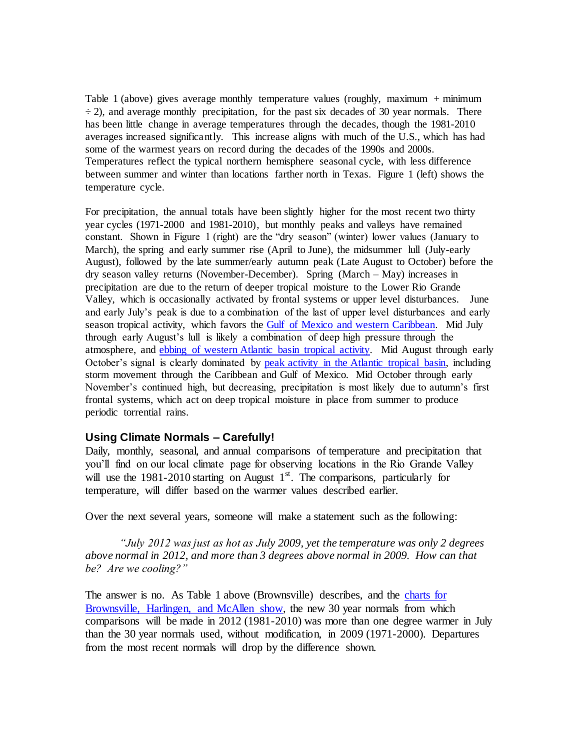Table 1 (above) gives average monthly temperature values (roughly, maximum + minimum  $\div$  2), and average monthly precipitation, for the past six decades of 30 year normals. There has been little change in average temperatures through the decades, though the 1981-2010 averages increased significantly. This increase aligns with much of the U.S., which has had some of the warmest years on record during the decades of the 1990s and 2000s. Temperatures reflect the typical northern hemisphere seasonal cycle, with less difference between summer and winter than locations farther north in Texas. Figure 1 (left) shows the temperature cycle.

For precipitation, the annual totals have been slightly higher for the most recent two thirty year cycles (1971-2000 and 1981-2010), but monthly peaks and valleys have remained constant. Shown in Figure 1 (right) are the "dry season" (winter) lower values (January to March), the spring and early summer rise (April to June), the midsummer lull (July-early August), followed by the late summer/early autumn peak (Late August to October) before the dry season valley returns (November-December). Spring (March – May) increases in precipitation are due to the return of deeper tropical moisture to the Lower Rio Grande Valley, which is occasionally activated by frontal systems or upper level disturbances. June and early July"s peak is due to a combination of the last of upper level disturbances and early season tropical activity, which favors the [Gulf of Mexico and western Caribbean.](http://www.nhc.noaa.gov/climo/images/6_11_20_nhc.png) Mid July through early August"s lull is likely a combination of deep high pressure through the atmosphere, and [ebbing of western Atlantic basin tropical activity.](http://www.nhc.noaa.gov/climo/images/7_11_20_nhc.png) Mid August through early October"s signal is clearly dominated by [peak activity in the Atlantic tropical basin,](http://www.nhc.noaa.gov/climo/images/9_1_10_nhc.png) including storm movement through the Caribbean and Gulf of Mexico. Mid October through early November"s continued high, but decreasing, precipitation is most likely due to autumn"s first frontal systems, which act on deep tropical moisture in place from summer to produce periodic torrential rains.

### **Using Climate Normals – Carefully!**

Daily, monthly, seasonal, and annual comparisons of temperature and precipitation that you"ll find on our local climate page for observing locations in the Rio Grande Valley will use the 1981-2010 starting on August  $1<sup>st</sup>$ . The comparisons, particularly for temperature, will differ based on the warmer values described earlier.

Over the next several years, someone will make a statement such as the following:

*"July 2012 was just as hot as July 2009, yet the temperature was only 2 degrees above normal in 2012, and more than 3 degrees above normal in 2009. How can that be? Are we cooling?"*

The answer is no. As Table 1 above (Brownsville) describes, and the [charts for](http://weather.gov/rgv/?n=climate1981_2010)  [Brownsville, Harlingen, and McAllen show,](http://weather.gov/rgv/?n=climate1981_2010) the new 30 year normals from which comparisons will be made in 2012 (1981-2010) was more than one degree warmer in July than the 30 year normals used, without modification, in 2009 (1971-2000). Departures from the most recent normals will drop by the difference shown.